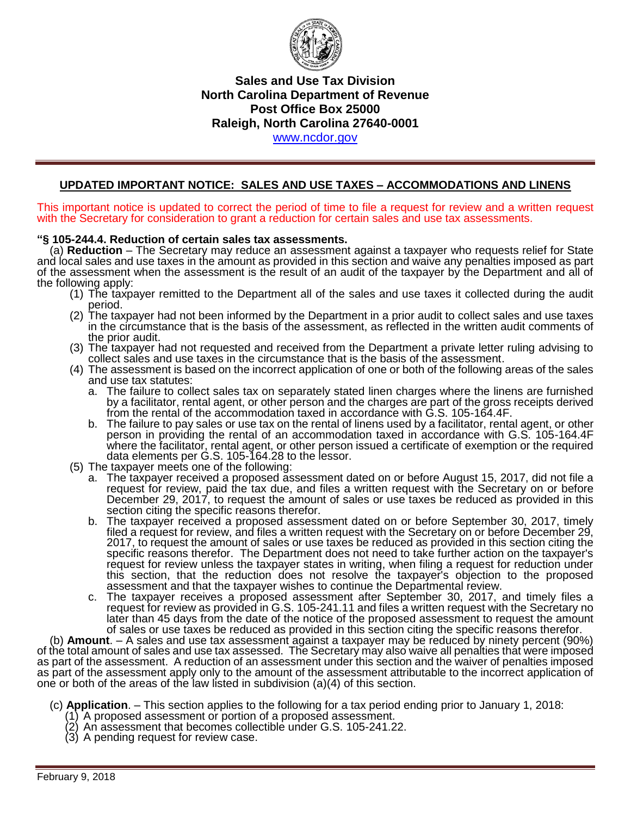

# **Sales and Use Tax Division North Carolina Department of Revenue Post Office Box 25000 Raleigh, North Carolina 27640-0001**  [www.ncdor.gov](http://www.ncdor.gov/)

### **UPDATED IMPORTANT NOTICE: SALES AND USE TAXES – ACCOMMODATIONS AND LINENS**

This important notice is updated to correct the period of time to file a request for review and a written request with the Secretary for consideration to grant a reduction for certain sales and use tax assessments.

#### **"§ 105-244.4. Reduction of certain sales tax assessments.**

 (a) **Reduction** – The Secretary may reduce an assessment against a taxpayer who requests relief for State and local sales and use taxes in the amount as provided in this section and waive any penalties imposed as part of the assessment when the assessment is the result of an audit of the taxpayer by the Department and all of the following apply:

- (1) The taxpayer remitted to the Department all of the sales and use taxes it collected during the audit period.
- (2) The taxpayer had not been informed by the Department in a prior audit to collect sales and use taxes in the circumstance that is the basis of the assessment, as reflected in the written audit comments of the prior audit.
- (3) The taxpayer had not requested and received from the Department a private letter ruling advising to collect sales and use taxes in the circumstance that is the basis of the assessment.
- (4) The assessment is based on the incorrect application of one or both of the following areas of the sales and use tax statutes:
	- a. The failure to collect sales tax on separately stated linen charges where the linens are furnished by a facilitator, rental agent, or other person and the charges are part of the gross receipts derived from the rental of the accommodation taxed in accordance with G.S. 105-164.4F.
	- b. The failure to pay sales or use tax on the rental of linens used by a facilitator, rental agent, or other person in providing the rental of an accommodation taxed in accordance with G.S. 105-164.4F where the facilitator, rental agent, or other person issued a certificate of exemption or the required data elements per G.S. 105-164.28 to the lessor.
- (5) The taxpayer meets one of the following:
	- a. The taxpayer received a proposed assessment dated on or before August 15, 2017, did not file a request for review, paid the tax due, and files a written request with the Secretary on or before December 29, 2017, to request the amount of sales or use taxes be reduced as provided in this section citing the specific reasons therefor.
	- b. The taxpayer received a proposed assessment dated on or before September 30, 2017, timely filed a request for review, and files a written request with the Secretary on or before December 29, 2017, to request the amount of sales or use taxes be reduced as provided in this section citing the specific reasons therefor. The Department does not need to take further action on the taxpayer's request for review unless the taxpayer states in writing, when filing a request for reduction under this section, that the reduction does not resolve the taxpayer's objection to the proposed assessment and that the taxpayer wishes to continue the Departmental review.
	- c. The taxpayer receives a proposed assessment after September 30, 2017, and timely files a request for review as provided in G.S. 105-241.11 and files a written request with the Secretary no later than 45 days from the date of the notice of the proposed assessment to request the amount of sales or use taxes be reduced as provided in this section citing the specific reasons therefor.

 (b) **Amount**. – A sales and use tax assessment against a taxpayer may be reduced by ninety percent (90%) of the total amount of sales and use tax assessed. The Secretary may also waive all penalties that were imposed as part of the assessment. A reduction of an assessment under this section and the waiver of penalties imposed as part of the assessment apply only to the amount of the assessment attributable to the incorrect application of one or both of the areas of the law listed in subdivision (a)(4) of this section.

- (c) **Application**. This section applies to the following for a tax period ending prior to January 1, 2018:
	- (1) A proposed assessment or portion of a proposed assessment.
	- (2) An assessment that becomes collectible under G.S. 105-241.22.
	- (3) A pending request for review case.